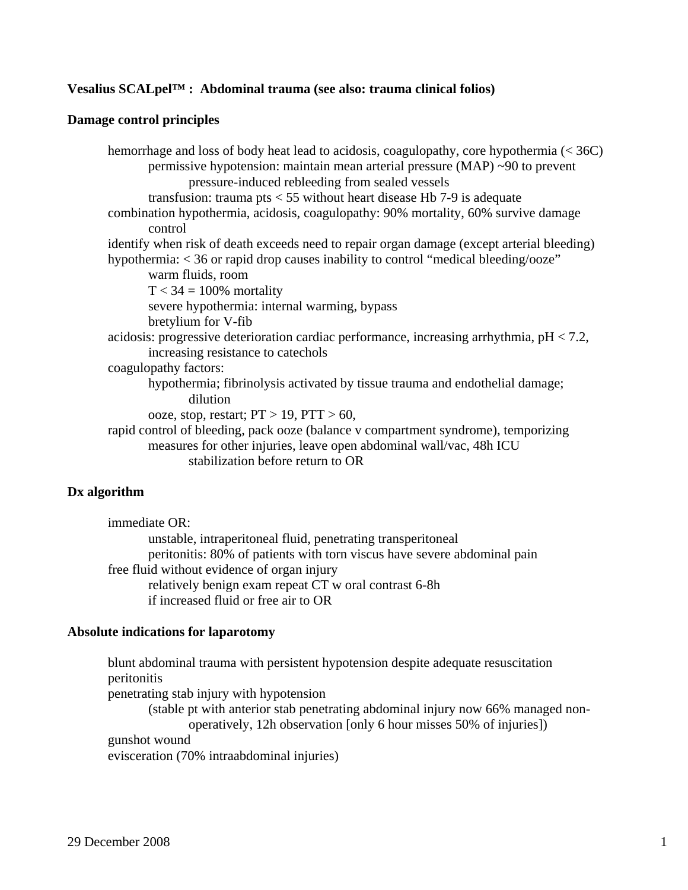### **Vesalius SCALpel™ : Abdominal trauma (see also: trauma clinical folios)**

### **Damage control principles**

 hemorrhage and loss of body heat lead to acidosis, coagulopathy, core hypothermia (< 36C) permissive hypotension: maintain mean arterial pressure (MAP) ~90 to prevent pressure-induced rebleeding from sealed vessels transfusion: trauma pts  $<$  55 without heart disease Hb 7-9 is adequate combination hypothermia, acidosis, coagulopathy: 90% mortality, 60% survive damage control identify when risk of death exceeds need to repair organ damage (except arterial bleeding) hypothermia: < 36 or rapid drop causes inability to control "medical bleeding/ooze" warm fluids, room  $T < 34 = 100\%$  mortality severe hypothermia: internal warming, bypass bretylium for V-fib acidosis: progressive deterioration cardiac performance, increasing arrhythmia, pH < 7.2, increasing resistance to catechols coagulopathy factors: hypothermia; fibrinolysis activated by tissue trauma and endothelial damage; dilution ooze, stop, restart;  $PT > 19$ ,  $PTT > 60$ , rapid control of bleeding, pack ooze (balance v compartment syndrome), temporizing measures for other injuries, leave open abdominal wall/vac, 48h ICU stabilization before return to OR

### **Dx algorithm**

 immediate OR: unstable, intraperitoneal fluid, penetrating transperitoneal peritonitis: 80% of patients with torn viscus have severe abdominal pain free fluid without evidence of organ injury relatively benign exam repeat CT w oral contrast 6-8h if increased fluid or free air to OR

### **Absolute indications for laparotomy**

 blunt abdominal trauma with persistent hypotension despite adequate resuscitation peritonitis penetrating stab injury with hypotension (stable pt with anterior stab penetrating abdominal injury now 66% managed non operatively, 12h observation [only 6 hour misses 50% of injuries]) gunshot wound evisceration (70% intraabdominal injuries)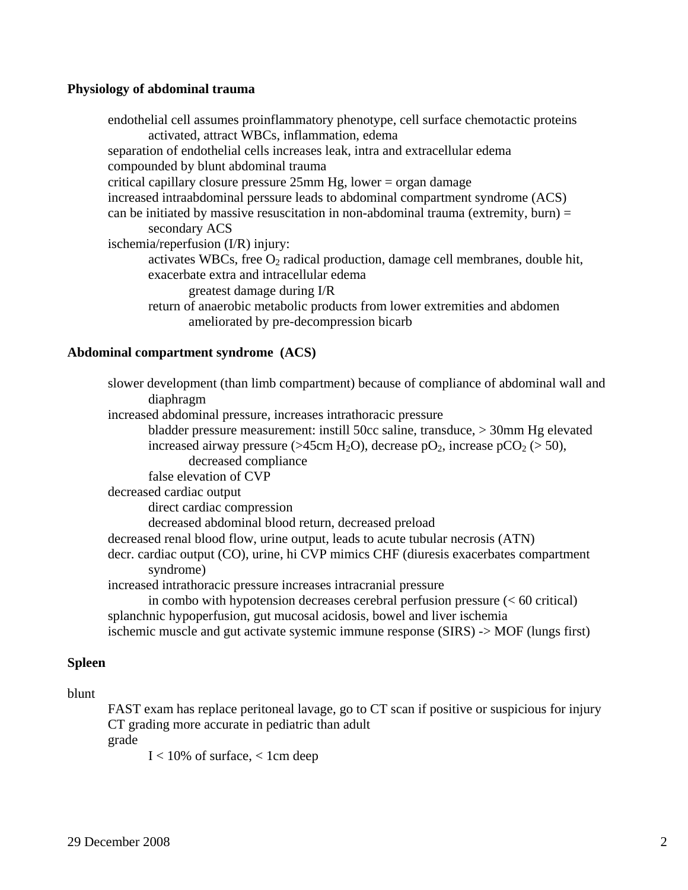### **Physiology of abdominal trauma**

 endothelial cell assumes proinflammatory phenotype, cell surface chemotactic proteins activated, attract WBCs, inflammation, edema separation of endothelial cells increases leak, intra and extracellular edema compounded by blunt abdominal trauma critical capillary closure pressure 25mm Hg, lower = organ damage increased intraabdominal perssure leads to abdominal compartment syndrome (ACS) can be initiated by massive resuscitation in non-abdominal trauma (extremity, burn)  $=$  secondary ACS ischemia/reperfusion (I/R) injury: activates WBCs, free  $O_2$  radical production, damage cell membranes, double hit, exacerbate extra and intracellular edema greatest damage during I/R return of anaerobic metabolic products from lower extremities and abdomen ameliorated by pre-decompression bicarb

### **Abdominal compartment syndrome (ACS)**

| increased abdominal pressure, increases intrathoracic pressure<br>bladder pressure measurement: instill 50cc saline, transduce, > 30mm Hg elevated<br>increased airway pressure (>45cm H <sub>2</sub> O), decrease pO <sub>2</sub> , increase pCO <sub>2</sub> (> 50),<br>decreased compliance<br>false elevation of CVP<br>decreased cardiac output<br>direct cardiac compression<br>decreased abdominal blood return, decreased preload<br>decreased renal blood flow, urine output, leads to acute tubular necrosis (ATN)<br>decr. cardiac output (CO), urine, hi CVP mimics CHF (diuresis exacerbates compartment<br>syndrome)<br>increased intrathoracic pressure increases intracranial pressure<br>in combo with hypotension decreases cerebral perfusion pressure $(< 60$ critical)<br>splanchnic hypoperfusion, gut mucosal acidosis, bowel and liver ischemia<br>ischemic muscle and gut activate systemic immune response (SIRS) -> MOF (lungs first) | slower development (than limb compartment) because of compliance of abdominal wall and |
|------------------------------------------------------------------------------------------------------------------------------------------------------------------------------------------------------------------------------------------------------------------------------------------------------------------------------------------------------------------------------------------------------------------------------------------------------------------------------------------------------------------------------------------------------------------------------------------------------------------------------------------------------------------------------------------------------------------------------------------------------------------------------------------------------------------------------------------------------------------------------------------------------------------------------------------------------------------|----------------------------------------------------------------------------------------|
|                                                                                                                                                                                                                                                                                                                                                                                                                                                                                                                                                                                                                                                                                                                                                                                                                                                                                                                                                                  | diaphragm                                                                              |
|                                                                                                                                                                                                                                                                                                                                                                                                                                                                                                                                                                                                                                                                                                                                                                                                                                                                                                                                                                  |                                                                                        |
|                                                                                                                                                                                                                                                                                                                                                                                                                                                                                                                                                                                                                                                                                                                                                                                                                                                                                                                                                                  |                                                                                        |
|                                                                                                                                                                                                                                                                                                                                                                                                                                                                                                                                                                                                                                                                                                                                                                                                                                                                                                                                                                  |                                                                                        |
|                                                                                                                                                                                                                                                                                                                                                                                                                                                                                                                                                                                                                                                                                                                                                                                                                                                                                                                                                                  |                                                                                        |
|                                                                                                                                                                                                                                                                                                                                                                                                                                                                                                                                                                                                                                                                                                                                                                                                                                                                                                                                                                  |                                                                                        |
|                                                                                                                                                                                                                                                                                                                                                                                                                                                                                                                                                                                                                                                                                                                                                                                                                                                                                                                                                                  |                                                                                        |
|                                                                                                                                                                                                                                                                                                                                                                                                                                                                                                                                                                                                                                                                                                                                                                                                                                                                                                                                                                  |                                                                                        |
|                                                                                                                                                                                                                                                                                                                                                                                                                                                                                                                                                                                                                                                                                                                                                                                                                                                                                                                                                                  |                                                                                        |
|                                                                                                                                                                                                                                                                                                                                                                                                                                                                                                                                                                                                                                                                                                                                                                                                                                                                                                                                                                  |                                                                                        |
|                                                                                                                                                                                                                                                                                                                                                                                                                                                                                                                                                                                                                                                                                                                                                                                                                                                                                                                                                                  |                                                                                        |
|                                                                                                                                                                                                                                                                                                                                                                                                                                                                                                                                                                                                                                                                                                                                                                                                                                                                                                                                                                  |                                                                                        |
|                                                                                                                                                                                                                                                                                                                                                                                                                                                                                                                                                                                                                                                                                                                                                                                                                                                                                                                                                                  |                                                                                        |
|                                                                                                                                                                                                                                                                                                                                                                                                                                                                                                                                                                                                                                                                                                                                                                                                                                                                                                                                                                  |                                                                                        |

### **Spleen**

# blunt

 FAST exam has replace peritoneal lavage, go to CT scan if positive or suspicious for injury CT grading more accurate in pediatric than adult

grade

 $I < 10\%$  of surface,  $< 1$ cm deep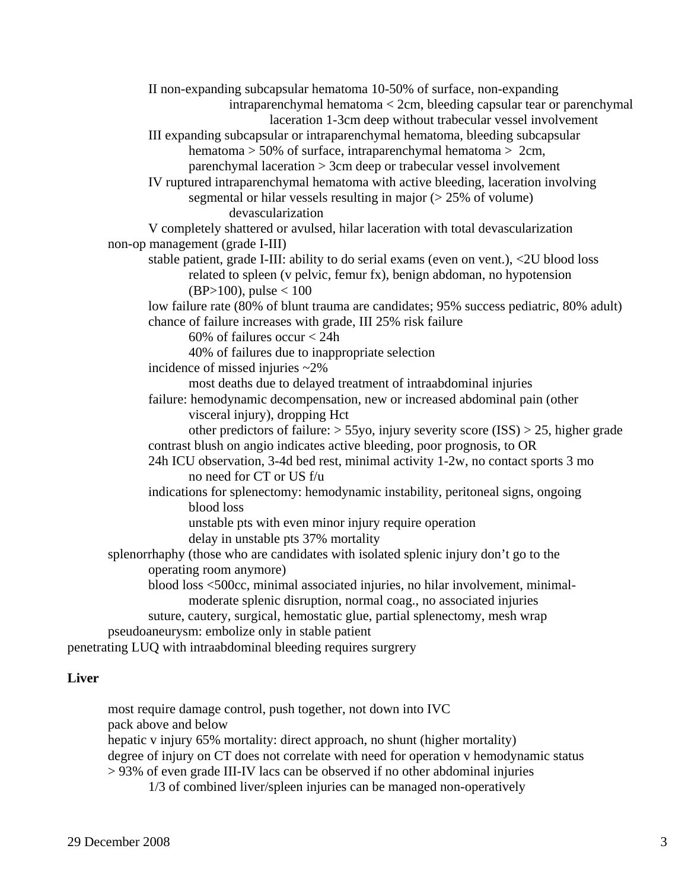II non-expanding subcapsular hematoma 10-50% of surface, non-expanding intraparenchymal hematoma < 2cm, bleeding capsular tear or parenchymal laceration 1-3cm deep without trabecular vessel involvement III expanding subcapsular or intraparenchymal hematoma, bleeding subcapsular hematoma > 50% of surface, intraparenchymal hematoma > 2cm, parenchymal laceration > 3cm deep or trabecular vessel involvement IV ruptured intraparenchymal hematoma with active bleeding, laceration involving segmental or hilar vessels resulting in major (> 25% of volume) devascularization V completely shattered or avulsed, hilar laceration with total devascularization non-op management (grade I-III) stable patient, grade I-III: ability to do serial exams (even on vent.), <2U blood loss related to spleen (v pelvic, femur fx), benign abdoman, no hypotension  $(BP>100)$ , pulse < 100 low failure rate (80% of blunt trauma are candidates; 95% success pediatric, 80% adult) chance of failure increases with grade, III 25% risk failure 60% of failures occur  $< 24h$  40% of failures due to inappropriate selection incidence of missed injuries ~2% most deaths due to delayed treatment of intraabdominal injuries failure: hemodynamic decompensation, new or increased abdominal pain (other visceral injury), dropping Hct other predictors of failure: > 55yo, injury severity score (ISS) > 25, higher grade contrast blush on angio indicates active bleeding, poor prognosis, to OR 24h ICU observation, 3-4d bed rest, minimal activity 1-2w, no contact sports 3 mo no need for CT or US f/u indications for splenectomy: hemodynamic instability, peritoneal signs, ongoing blood loss unstable pts with even minor injury require operation delay in unstable pts 37% mortality splenorrhaphy (those who are candidates with isolated splenic injury don't go to the operating room anymore) blood loss <500cc, minimal associated injuries, no hilar involvement, minimal moderate splenic disruption, normal coag., no associated injuries suture, cautery, surgical, hemostatic glue, partial splenectomy, mesh wrap pseudoaneurysm: embolize only in stable patient penetrating LUQ with intraabdominal bleeding requires surgrery

### **Liver**

 most require damage control, push together, not down into IVC pack above and below hepatic v injury 65% mortality: direct approach, no shunt (higher mortality) degree of injury on CT does not correlate with need for operation v hemodynamic status > 93% of even grade III-IV lacs can be observed if no other abdominal injuries 1/3 of combined liver/spleen injuries can be managed non-operatively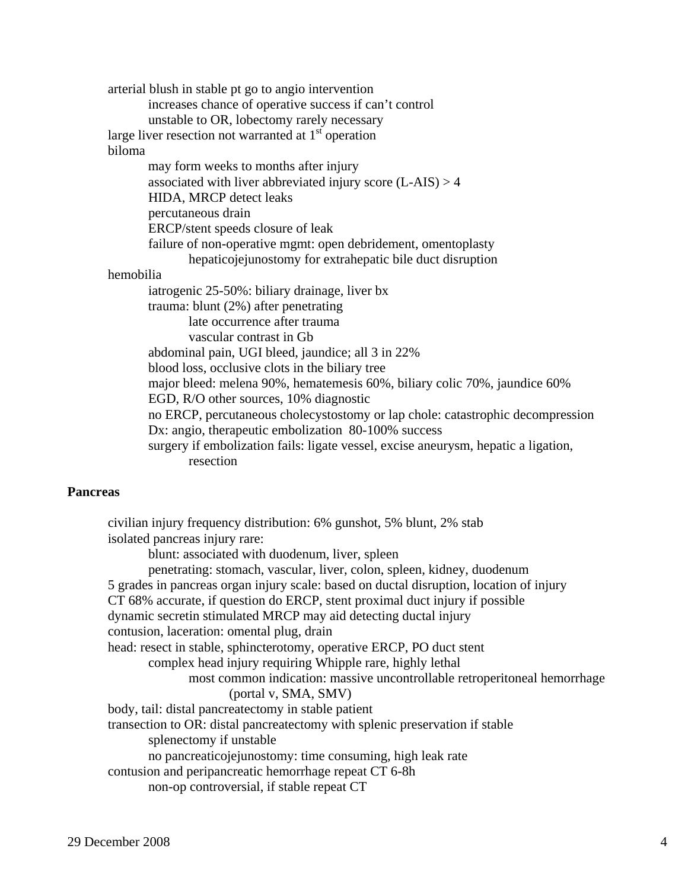arterial blush in stable pt go to angio intervention increases chance of operative success if can't control unstable to OR, lobectomy rarely necessary large liver resection not warranted at  $1<sup>st</sup>$  operation biloma may form weeks to months after injury associated with liver abbreviated injury score  $(L-ALS) > 4$  HIDA, MRCP detect leaks percutaneous drain ERCP/stent speeds closure of leak failure of non-operative mgmt: open debridement, omentoplasty hepaticojejunostomy for extrahepatic bile duct disruption hemobilia iatrogenic 25-50%: biliary drainage, liver bx trauma: blunt (2%) after penetrating late occurrence after trauma vascular contrast in Gb abdominal pain, UGI bleed, jaundice; all 3 in 22% blood loss, occlusive clots in the biliary tree major bleed: melena 90%, hematemesis 60%, biliary colic 70%, jaundice 60% EGD, R/O other sources, 10% diagnostic no ERCP, percutaneous cholecystostomy or lap chole: catastrophic decompression Dx: angio, therapeutic embolization 80-100% success surgery if embolization fails: ligate vessel, excise aneurysm, hepatic a ligation, resection

#### **Pancreas**

 civilian injury frequency distribution: 6% gunshot, 5% blunt, 2% stab isolated pancreas injury rare: blunt: associated with duodenum, liver, spleen penetrating: stomach, vascular, liver, colon, spleen, kidney, duodenum 5 grades in pancreas organ injury scale: based on ductal disruption, location of injury CT 68% accurate, if question do ERCP, stent proximal duct injury if possible dynamic secretin stimulated MRCP may aid detecting ductal injury contusion, laceration: omental plug, drain head: resect in stable, sphincterotomy, operative ERCP, PO duct stent complex head injury requiring Whipple rare, highly lethal most common indication: massive uncontrollable retroperitoneal hemorrhage (portal v, SMA, SMV) body, tail: distal pancreatectomy in stable patient transection to OR: distal pancreatectomy with splenic preservation if stable splenectomy if unstable no pancreaticojejunostomy: time consuming, high leak rate contusion and peripancreatic hemorrhage repeat CT 6-8h non-op controversial, if stable repeat CT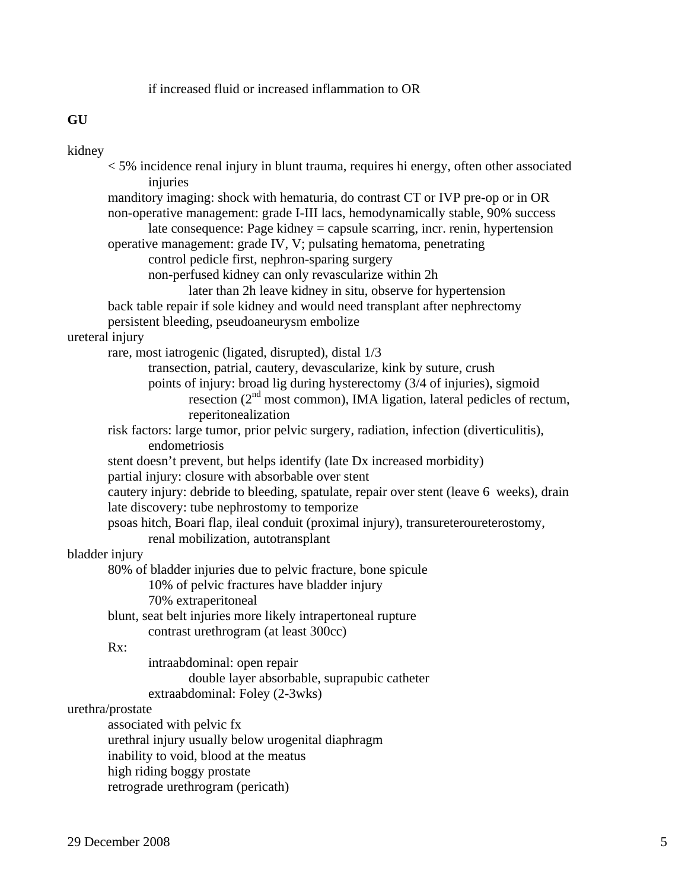# if increased fluid or increased inflammation to OR

# **GU**

# kidney

| <5% incidence renal injury in blunt trauma, requires hi energy, often other associated<br>injuries                                                                                                                                               |
|--------------------------------------------------------------------------------------------------------------------------------------------------------------------------------------------------------------------------------------------------|
| manditory imaging: shock with hematuria, do contrast CT or IVP pre-op or in OR<br>non-operative management: grade I-III lacs, hemodynamically stable, 90% success<br>late consequence: Page kidney = capsule scarring, incr. renin, hypertension |
| operative management: grade IV, V; pulsating hematoma, penetrating                                                                                                                                                                               |
| control pedicle first, nephron-sparing surgery<br>non-perfused kidney can only revascularize within 2h                                                                                                                                           |
| later than 2h leave kidney in situ, observe for hypertension                                                                                                                                                                                     |
| back table repair if sole kidney and would need transplant after nephrectomy                                                                                                                                                                     |
| persistent bleeding, pseudoaneurysm embolize                                                                                                                                                                                                     |
| ureteral injury                                                                                                                                                                                                                                  |
| rare, most iatrogenic (ligated, disrupted), distal 1/3                                                                                                                                                                                           |
| transection, patrial, cautery, devascularize, kink by suture, crush                                                                                                                                                                              |
| points of injury: broad lig during hysterectomy (3/4 of injuries), sigmoid                                                                                                                                                                       |
| resection ( $2nd$ most common), IMA ligation, lateral pedicles of rectum,<br>reperitonealization                                                                                                                                                 |
| risk factors: large tumor, prior pelvic surgery, radiation, infection (diverticulitis),                                                                                                                                                          |
| endometriosis                                                                                                                                                                                                                                    |
| stent doesn't prevent, but helps identify (late Dx increased morbidity)                                                                                                                                                                          |
| partial injury: closure with absorbable over stent                                                                                                                                                                                               |
| cautery injury: debride to bleeding, spatulate, repair over stent (leave 6 weeks), drain<br>late discovery: tube nephrostomy to temporize                                                                                                        |
| psoas hitch, Boari flap, ileal conduit (proximal injury), transureteroureterostomy,                                                                                                                                                              |
| renal mobilization, autotransplant                                                                                                                                                                                                               |
| bladder injury                                                                                                                                                                                                                                   |
| 80% of bladder injuries due to pelvic fracture, bone spicule                                                                                                                                                                                     |
| 10% of pelvic fractures have bladder injury                                                                                                                                                                                                      |
| 70% extraperitoneal                                                                                                                                                                                                                              |
| blunt, seat belt injuries more likely intrapertoneal rupture                                                                                                                                                                                     |
| contrast urethrogram (at least 300cc)                                                                                                                                                                                                            |
| Rx:<br>intraabdominal: open repair                                                                                                                                                                                                               |
| double layer absorbable, suprapubic catheter                                                                                                                                                                                                     |
| extraabdominal: Foley (2-3wks)                                                                                                                                                                                                                   |
| urethra/prostate                                                                                                                                                                                                                                 |
| associated with pelvic fx                                                                                                                                                                                                                        |
| urethral injury usually below urogenital diaphragm                                                                                                                                                                                               |
| inability to void, blood at the meatus                                                                                                                                                                                                           |
| high riding boggy prostate                                                                                                                                                                                                                       |
| retrograde urethrogram (pericath)                                                                                                                                                                                                                |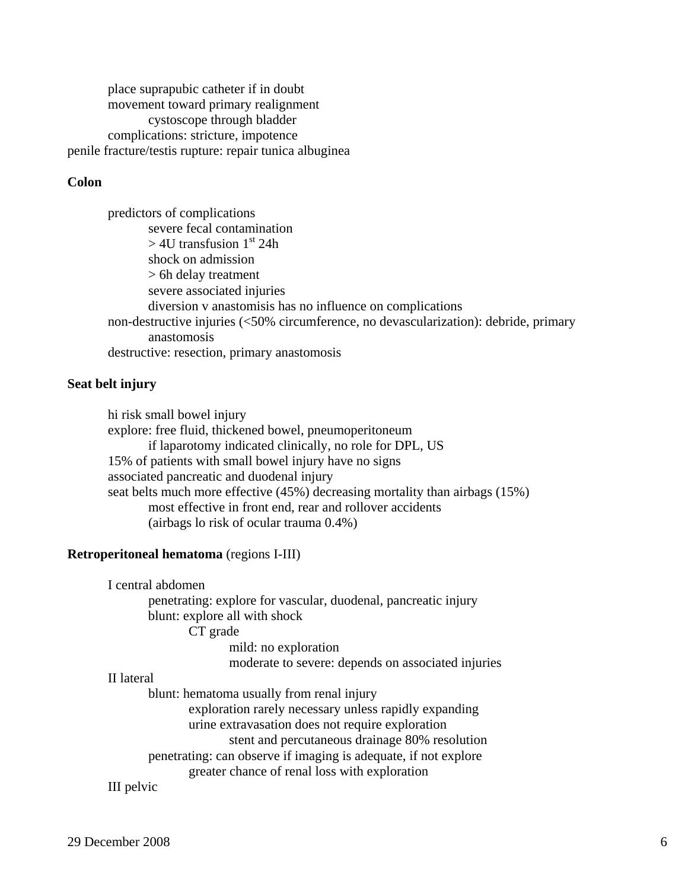place suprapubic catheter if in doubt movement toward primary realignment cystoscope through bladder complications: stricture, impotence penile fracture/testis rupture: repair tunica albuginea

### **Colon**

 predictors of complications severe fecal contamination  $>$  4U transfusion 1<sup>st</sup> 24h shock on admission > 6h delay treatment severe associated injuries diversion v anastomisis has no influence on complications non-destructive injuries (<50% circumference, no devascularization): debride, primary anastomosis destructive: resection, primary anastomosis

### **Seat belt injury**

 hi risk small bowel injury explore: free fluid, thickened bowel, pneumoperitoneum if laparotomy indicated clinically, no role for DPL, US 15% of patients with small bowel injury have no signs associated pancreatic and duodenal injury seat belts much more effective (45%) decreasing mortality than airbags (15%) most effective in front end, rear and rollover accidents (airbags lo risk of ocular trauma 0.4%)

#### **Retroperitoneal hematoma** (regions I-III)

I central abdomen

 penetrating: explore for vascular, duodenal, pancreatic injury blunt: explore all with shock

CT grade

 mild: no exploration moderate to severe: depends on associated injuries

### II lateral

blunt: hematoma usually from renal injury

exploration rarely necessary unless rapidly expanding

urine extravasation does not require exploration

stent and percutaneous drainage 80% resolution

penetrating: can observe if imaging is adequate, if not explore

greater chance of renal loss with exploration

III pelvic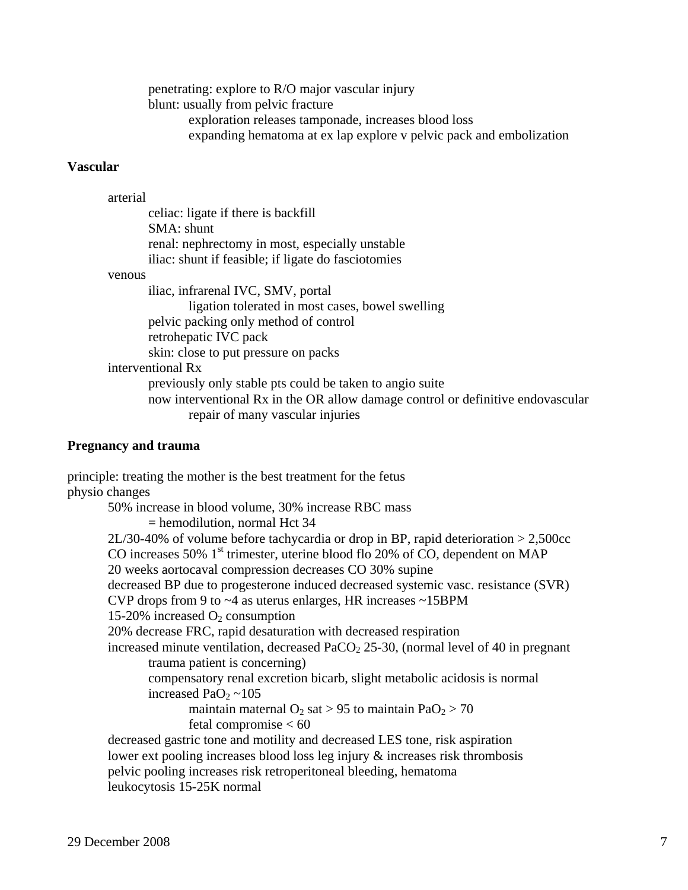penetrating: explore to R/O major vascular injury blunt: usually from pelvic fracture exploration releases tamponade, increases blood loss expanding hematoma at ex lap explore v pelvic pack and embolization

### **Vascular**

arterial

 celiac: ligate if there is backfill SMA: shunt renal: nephrectomy in most, especially unstable iliac: shunt if feasible; if ligate do fasciotomies

venous

 iliac, infrarenal IVC, SMV, portal ligation tolerated in most cases, bowel swelling pelvic packing only method of control retrohepatic IVC pack skin: close to put pressure on packs interventional Rx previously only stable pts could be taken to angio suite now interventional Rx in the OR allow damage control or definitive endovascular repair of many vascular injuries

### **Pregnancy and trauma**

principle: treating the mother is the best treatment for the fetus physio changes 50% increase in blood volume, 30% increase RBC mass = hemodilution, normal Hct 34 2L/30-40% of volume before tachycardia or drop in BP, rapid deterioration > 2,500cc CO increases 50%  $1<sup>st</sup>$  trimester, uterine blood flo 20% of CO, dependent on MAP 20 weeks aortocaval compression decreases CO 30% supine decreased BP due to progesterone induced decreased systemic vasc. resistance (SVR) CVP drops from 9 to ~4 as uterus enlarges, HR increases ~15BPM 15-20% increased  $O_2$  consumption 20% decrease FRC, rapid desaturation with decreased respiration increased minute ventilation, decreased  $PaCO<sub>2</sub>$  25-30, (normal level of 40 in pregnant trauma patient is concerning) compensatory renal excretion bicarb, slight metabolic acidosis is normal increased PaO<sub>2</sub>  $\sim$ 105 maintain maternal  $O_2$  sat > 95 to maintain Pa $O_2$  > 70 fetal compromise < 60 decreased gastric tone and motility and decreased LES tone, risk aspiration lower ext pooling increases blood loss leg injury & increases risk thrombosis pelvic pooling increases risk retroperitoneal bleeding, hematoma leukocytosis 15-25K normal